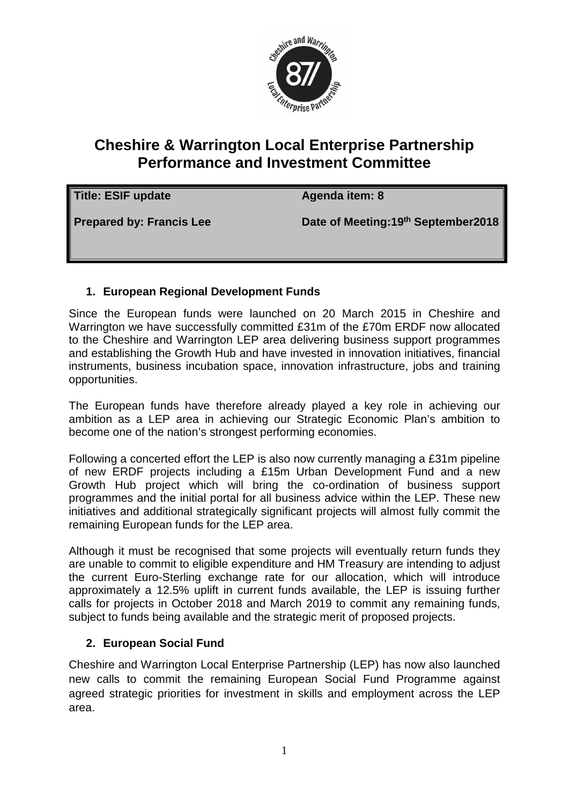

## **Cheshire & Warrington Local Enterprise Partnership Performance and Investment Committee**

| Title: ESIF update              | Agenda item: 8                       |
|---------------------------------|--------------------------------------|
| <b>Prepared by: Francis Lee</b> | Date of Meeting: 19th September 2018 |

## **1. European Regional Development Funds**

Since the European funds were launched on 20 March 2015 in Cheshire and Warrington we have successfully committed £31m of the £70m ERDF now allocated to the Cheshire and Warrington LEP area delivering business support programmes and establishing the Growth Hub and have invested in innovation initiatives, financial instruments, business incubation space, innovation infrastructure, jobs and training opportunities.

The European funds have therefore already played a key role in achieving our ambition as a LEP area in achieving our Strategic Economic Plan's ambition to become one of the nation's strongest performing economies.

Following a concerted effort the LEP is also now currently managing a £31m pipeline of new ERDF projects including a £15m Urban Development Fund and a new Growth Hub project which will bring the co-ordination of business support programmes and the initial portal for all business advice within the LEP. These new initiatives and additional strategically significant projects will almost fully commit the remaining European funds for the LEP area.

Although it must be recognised that some projects will eventually return funds they are unable to commit to eligible expenditure and HM Treasury are intending to adjust the current Euro-Sterling exchange rate for our allocation, which will introduce approximately a 12.5% uplift in current funds available, the LEP is issuing further calls for projects in October 2018 and March 2019 to commit any remaining funds, subject to funds being available and the strategic merit of proposed projects.

## **2. European Social Fund**

Cheshire and Warrington Local Enterprise Partnership (LEP) has now also launched new calls to commit the remaining European Social Fund Programme against agreed strategic priorities for investment in skills and employment across the LEP area.